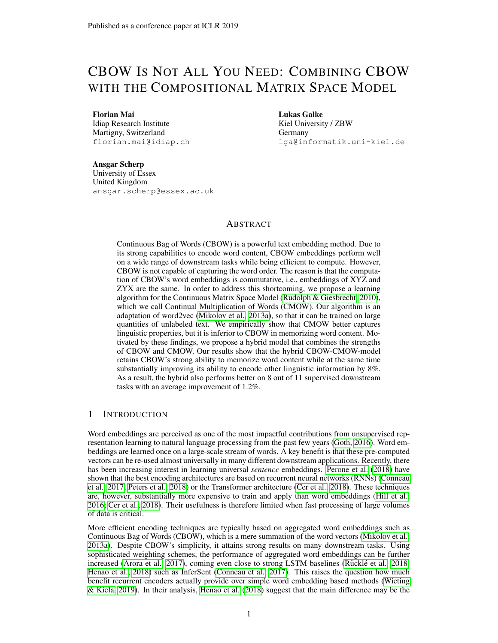# CBOW IS NOT ALL YOU NEED: COMBINING CBOW WITH THE COMPOSITIONAL MATRIX SPACE MODEL

Florian Mai Idiap Research Institute Martigny, Switzerland florian.mai@idiap.ch Lukas Galke Kiel University / ZBW Germany lga@informatik.uni-kiel.de

Ansgar Scherp University of Essex United Kingdom ansgar.scherp@essex.ac.uk

# ABSTRACT

Continuous Bag of Words (CBOW) is a powerful text embedding method. Due to its strong capabilities to encode word content, CBOW embeddings perform well on a wide range of downstream tasks while being efficient to compute. However, CBOW is not capable of capturing the word order. The reason is that the computation of CBOW's word embeddings is commutative, i.e., embeddings of XYZ and ZYX are the same. In order to address this shortcoming, we propose a learning algorithm for the Continuous Matrix Space Model [\(Rudolph & Giesbrecht, 2010\)](#page-9-0), which we call Continual Multiplication of Words (CMOW). Our algorithm is an adaptation of word2vec [\(Mikolov et al., 2013a\)](#page-9-1), so that it can be trained on large quantities of unlabeled text. We empirically show that CMOW better captures linguistic properties, but it is inferior to CBOW in memorizing word content. Motivated by these findings, we propose a hybrid model that combines the strengths of CBOW and CMOW. Our results show that the hybrid CBOW-CMOW-model retains CBOW's strong ability to memorize word content while at the same time substantially improving its ability to encode other linguistic information by 8%. As a result, the hybrid also performs better on 8 out of 11 supervised downstream tasks with an average improvement of 1.2%.

# 1 INTRODUCTION

Word embeddings are perceived as one of the most impactful contributions from unsupervised representation learning to natural language processing from the past few years [\(Goth, 2016\)](#page-8-0). Word embeddings are learned once on a large-scale stream of words. A key benefit is that these pre-computed vectors can be re-used almost universally in many different downstream applications. Recently, there has been increasing interest in learning universal *sentence* embeddings. [Perone et al.](#page-9-2) [\(2018\)](#page-9-2) have shown that the best encoding architectures are based on recurrent neural networks (RNNs) [\(Conneau](#page-8-1) [et al., 2017;](#page-8-1) [Peters et al., 2018\)](#page-9-3) or the Transformer architecture [\(Cer et al., 2018\)](#page-8-2). These techniques are, however, substantially more expensive to train and apply than word embeddings [\(Hill et al.,](#page-8-3) [2016;](#page-8-3) [Cer et al., 2018\)](#page-8-2). Their usefulness is therefore limited when fast processing of large volumes of data is critical.

More efficient encoding techniques are typically based on aggregated word embeddings such as Continuous Bag of Words (CBOW), which is a mere summation of the word vectors [\(Mikolov et al.,](#page-9-1) [2013a\)](#page-9-1). Despite CBOW's simplicity, it attains strong results on many downstream tasks. Using sophisticated weighting schemes, the performance of aggregated word embeddings can be further increased [\(Arora et al., 2017\)](#page-8-4), coming even close to strong LSTM baselines (Rücklé et al., 2018; [Henao et al., 2018\)](#page-8-5) such as InferSent [\(Conneau et al., 2017\)](#page-8-1). This raises the question how much benefit recurrent encoders actually provide over simple word embedding based methods [\(Wieting](#page-9-5) [& Kiela, 2019\)](#page-9-5). In their analysis, [Henao et al.](#page-8-5) [\(2018\)](#page-8-5) suggest that the main difference may be the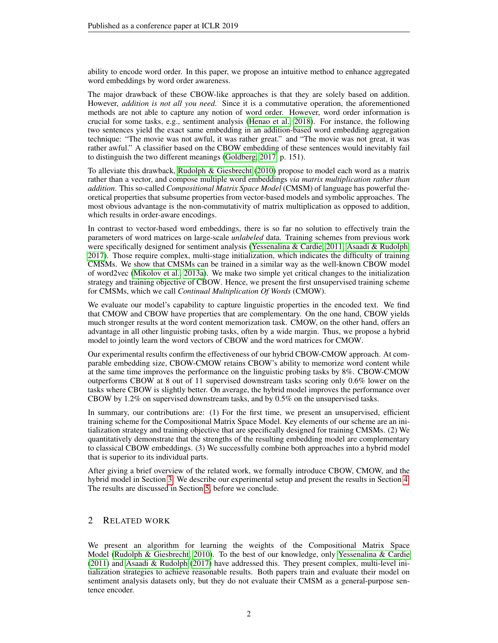ability to encode word order. In this paper, we propose an intuitive method to enhance aggregated word embeddings by word order awareness.

The major drawback of these CBOW-like approaches is that they are solely based on addition. However, *addition is not all you need*. Since it is a commutative operation, the aforementioned methods are not able to capture any notion of word order. However, word order information is crucial for some tasks, e.g., sentiment analysis [\(Henao et al., 2018\)](#page-8-5). For instance, the following two sentences yield the exact same embedding in an addition-based word embedding aggregation technique: "The movie was not awful, it was rather great." and "The movie was not great, it was rather awful." A classifier based on the CBOW embedding of these sentences would inevitably fail to distinguish the two different meanings [\(Goldberg, 2017,](#page-8-6) p. 151).

To alleviate this drawback, [Rudolph & Giesbrecht](#page-9-0) [\(2010\)](#page-9-0) propose to model each word as a matrix rather than a vector, and compose multiple word embeddings *via matrix multiplication rather than addition*. This so-called *Compositional Matrix Space Model* (CMSM) of language has powerful theoretical properties that subsume properties from vector-based models and symbolic approaches. The most obvious advantage is the non-commutativity of matrix multiplication as opposed to addition, which results in order-aware encodings.

In contrast to vector-based word embeddings, there is so far no solution to effectively train the parameters of word matrices on large-scale *unlabeled* data. Training schemes from previous work were specifically designed for sentiment analysis [\(Yessenalina & Cardie, 2011;](#page-9-6) [Asaadi & Rudolph,](#page-8-7) [2017\)](#page-8-7). Those require complex, multi-stage initialization, which indicates the difficulty of training CMSMs. We show that CMSMs can be trained in a similar way as the well-known CBOW model of word2vec [\(Mikolov et al., 2013a\)](#page-9-1). We make two simple yet critical changes to the initialization strategy and training objective of CBOW. Hence, we present the first unsupervised training scheme for CMSMs, which we call *Continual Multiplication Of Words* (CMOW).

We evaluate our model's capability to capture linguistic properties in the encoded text. We find that CMOW and CBOW have properties that are complementary. On the one hand, CBOW yields much stronger results at the word content memorization task. CMOW, on the other hand, offers an advantage in all other linguistic probing tasks, often by a wide margin. Thus, we propose a hybrid model to jointly learn the word vectors of CBOW and the word matrices for CMOW.

Our experimental results confirm the effectiveness of our hybrid CBOW-CMOW approach. At comparable embedding size, CBOW-CMOW retains CBOW's ability to memorize word content while at the same time improves the performance on the linguistic probing tasks by 8%. CBOW-CMOW outperforms CBOW at 8 out of 11 supervised downstream tasks scoring only 0.6% lower on the tasks where CBOW is slightly better. On average, the hybrid model improves the performance over CBOW by 1.2% on supervised downstream tasks, and by 0.5% on the unsupervised tasks.

In summary, our contributions are: (1) For the first time, we present an unsupervised, efficient training scheme for the Compositional Matrix Space Model. Key elements of our scheme are an initialization strategy and training objective that are specifically designed for training CMSMs. (2) We quantitatively demonstrate that the strengths of the resulting embedding model are complementary to classical CBOW embeddings. (3) We successfully combine both approaches into a hybrid model that is superior to its individual parts.

After giving a brief overview of the related work, we formally introduce CBOW, CMOW, and the hybrid model in Section [3.](#page-2-0) We describe our experimental setup and present the results in Section [4.](#page-4-0) The results are discussed in Section [5,](#page-6-0) before we conclude.

# 2 RELATED WORK

We present an algorithm for learning the weights of the Compositional Matrix Space Model [\(Rudolph & Giesbrecht, 2010\)](#page-9-0). To the best of our knowledge, only [Yessenalina & Cardie](#page-9-6) [\(2011\)](#page-9-6) and [Asaadi & Rudolph](#page-8-7) [\(2017\)](#page-8-7) have addressed this. They present complex, multi-level initialization strategies to achieve reasonable results. Both papers train and evaluate their model on sentiment analysis datasets only, but they do not evaluate their CMSM as a general-purpose sentence encoder.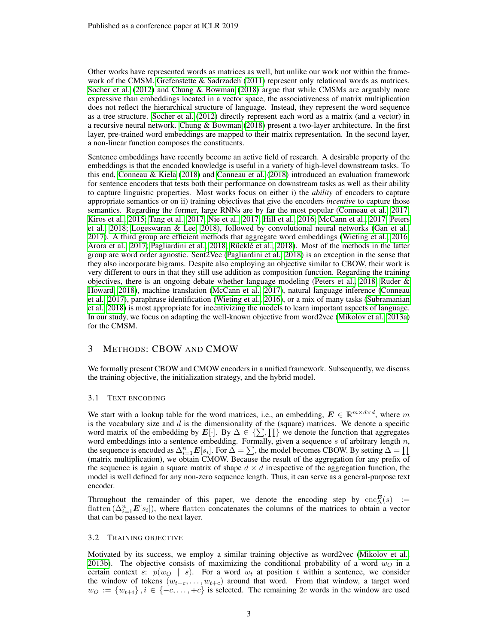Other works have represented words as matrices as well, but unlike our work not within the frame-work of the CMSM. [Grefenstette & Sadrzadeh](#page-8-8) [\(2011\)](#page-8-8) represent only relational words as matrices. [Socher et al.](#page-9-7) [\(2012\)](#page-9-7) and [Chung & Bowman](#page-8-9) [\(2018\)](#page-8-9) argue that while CMSMs are arguably more expressive than embeddings located in a vector space, the associativeness of matrix multiplication does not reflect the hierarchical structure of language. Instead, they represent the word sequence as a tree structure. [Socher et al.](#page-9-7) [\(2012\)](#page-9-7) directly represent each word as a matrix (and a vector) in a recursive neural network. [Chung & Bowman](#page-8-9) [\(2018\)](#page-8-9) present a two-layer architecture. In the first layer, pre-trained word embeddings are mapped to their matrix representation. In the second layer, a non-linear function composes the constituents.

Sentence embeddings have recently become an active field of research. A desirable property of the embeddings is that the encoded knowledge is useful in a variety of high-level downstream tasks. To this end, [Conneau & Kiela](#page-8-10) [\(2018\)](#page-8-10) and [Conneau et al.](#page-8-11) [\(2018\)](#page-8-11) introduced an evaluation framework for sentence encoders that tests both their performance on downstream tasks as well as their ability to capture linguistic properties. Most works focus on either i) the *ability* of encoders to capture appropriate semantics or on ii) training objectives that give the encoders *incentive* to capture those semantics. Regarding the former, large RNNs are by far the most popular [\(Conneau et al., 2017;](#page-8-1) [Kiros et al., 2015;](#page-9-8) [Tang et al., 2017;](#page-9-9) [Nie et al., 2017;](#page-9-10) [Hill et al., 2016;](#page-8-3) [McCann et al., 2017;](#page-9-11) [Peters](#page-9-3) [et al., 2018;](#page-9-3) [Logeswaran & Lee, 2018\)](#page-9-12), followed by convolutional neural networks [\(Gan et al.,](#page-8-12) [2017\)](#page-8-12). A third group are efficient methods that aggregate word embeddings [\(Wieting et al., 2016;](#page-9-13) [Arora et al., 2017;](#page-8-4) [Pagliardini et al., 2018;](#page-9-14) Rücklé et al., 2018). Most of the methods in the latter group are word order agnostic. Sent2Vec [\(Pagliardini et al., 2018\)](#page-9-14) is an exception in the sense that they also incorporate bigrams. Despite also employing an objective similar to CBOW, their work is very different to ours in that they still use addition as composition function. Regarding the training objectives, there is an ongoing debate whether language modeling [\(Peters et al., 2018;](#page-9-3) [Ruder &](#page-9-15) [Howard, 2018\)](#page-9-15), machine translation [\(McCann et al., 2017\)](#page-9-11), natural language inference [\(Conneau](#page-8-1) [et al., 2017\)](#page-8-1), paraphrase identification [\(Wieting et al., 2016\)](#page-9-13), or a mix of many tasks [\(Subramanian](#page-9-16) [et al., 2018\)](#page-9-16) is most appropriate for incentivizing the models to learn important aspects of language. In our study, we focus on adapting the well-known objective from word2vec [\(Mikolov et al., 2013a\)](#page-9-1) for the CMSM.

# <span id="page-2-0"></span>3 METHODS: CBOW AND CMOW

We formally present CBOW and CMOW encoders in a unified framework. Subsequently, we discuss the training objective, the initialization strategy, and the hybrid model.

### 3.1 TEXT ENCODING

We start with a lookup table for the word matrices, i.e., an embedding,  $E \in \mathbb{R}^{m \times d \times d}$ , where m is the vocabulary size and  $d$  is the dimensionality of the (square) matrices. We denote a specific word matrix of the embedding by  $E[\cdot]$ . By  $\Delta \in \{\sum_{n} \Pi\}$  we denote the function that aggregates word embeddings into a sentence embedding. Formally, given a sequence  $s$  of arbitrary length  $n$ , the sequence is encoded as  $\Delta_{i=1}^n E[s_i]$ . For  $\overline{\Delta} = \sum$ , the model becomes CBOW. By setting  $\overline{\Delta} = \prod$ (matrix multiplication), we obtain CMOW. Because the result of the aggregation for any prefix of the sequence is again a square matrix of shape  $d \times d$  irrespective of the aggregation function, the model is well defined for any non-zero sequence length. Thus, it can serve as a general-purpose text encoder.

Throughout the remainder of this paper, we denote the encoding step by  $\text{enc}^{\mathbf{E}}_{\Delta}(s)$  := flatten  $(\Delta_{i=1}^n E[s_i])$ , where flatten concatenates the columns of the matrices to obtain a vector that can be passed to the next layer.

#### <span id="page-2-1"></span>3.2 TRAINING OBJECTIVE

Motivated by its success, we employ a similar training objective as word2vec [\(Mikolov et al.,](#page-9-17) [2013b\)](#page-9-17). The objective consists of maximizing the conditional probability of a word  $w<sub>O</sub>$  in a certain context s:  $p(w_O \mid s)$ . For a word  $w_t$  at position t within a sentence, we consider the window of tokens  $(w_{t-c}, \ldots, w_{t+c})$  around that word. From that window, a target word  $w_O := \{w_{t+i}\}, i \in \{-c, \ldots, +c\}$  is selected. The remaining 2c words in the window are used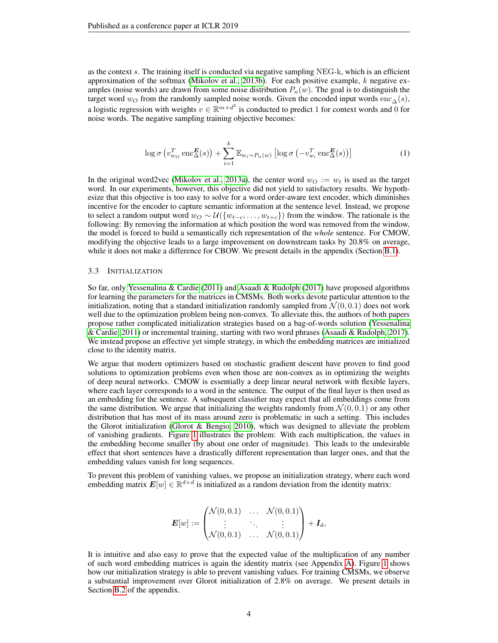as the context s. The training itself is conducted via negative sampling NEG-k, which is an efficient approximation of the softmax [\(Mikolov et al., 2013b\)](#page-9-17). For each positive example,  $k$  negative examples (noise words) are drawn from some noise distribution  $P_n(w)$ . The goal is to distinguish the target word w<sub>O</sub> from the randomly sampled noise words. Given the encoded input words enc<sub>∧</sub>(s), a logistic regression with weights  $v \in \mathbb{R}^{m \times d^2}$  is conducted to predict 1 for context words and 0 for noise words. The negative sampling training objective becomes:

<span id="page-3-0"></span>
$$
\log \sigma \left( v_{w_O}^T \operatorname{enc}^{\boldsymbol{E}}_{\Delta}(s) \right) + \sum_{i=1}^k \mathbb{E}_{w_i \sim P_n(w)} \left[ \log \sigma \left( -v_{w_i}^T \operatorname{enc}^{\boldsymbol{E}}_{\Delta}(s) \right) \right]
$$
(1)

In the original word2vec [\(Mikolov et al., 2013a\)](#page-9-1), the center word  $w_O := w_t$  is used as the target word. In our experiments, however, this objective did not yield to satisfactory results. We hypothesize that this objective is too easy to solve for a word order-aware text encoder, which diminishes incentive for the encoder to capture semantic information at the sentence level. Instead, we propose to select a random output word  $w_O \sim \mathcal{U}(\{w_{t-c}, \ldots, w_{t+c}\})$  from the window. The rationale is the following: By removing the information at which position the word was removed from the window, the model is forced to build a semantically rich representation of the *whole* sentence. For CMOW, modifying the objective leads to a large improvement on downstream tasks by 20.8% on average, while it does not make a difference for CBOW. We present details in the appendix (Section [B.1\)](#page-10-0).

### <span id="page-3-1"></span>3.3 INITIALIZATION

So far, only [Yessenalina & Cardie](#page-9-6) [\(2011\)](#page-9-6) and [Asaadi & Rudolph](#page-8-7) [\(2017\)](#page-8-7) have proposed algorithms for learning the parameters for the matrices in CMSMs. Both works devote particular attention to the initialization, noting that a standard initialization randomly sampled from  $\mathcal{N}(0, 0.1)$  does not work well due to the optimization problem being non-convex. To alleviate this, the authors of both papers propose rather complicated initialization strategies based on a bag-of-words solution [\(Yessenalina](#page-9-6) [& Cardie, 2011\)](#page-9-6) or incremental training, starting with two word phrases [\(Asaadi & Rudolph, 2017\)](#page-8-7). We instead propose an effective yet simple strategy, in which the embedding matrices are initialized close to the identity matrix.

We argue that modern optimizers based on stochastic gradient descent have proven to find good solutions to optimization problems even when those are non-convex as in optimizing the weights of deep neural networks. CMOW is essentially a deep linear neural network with flexible layers, where each layer corresponds to a word in the sentence. The output of the final layer is then used as an embedding for the sentence. A subsequent classifier may expect that all embeddings come from the same distribution. We argue that initializing the weights randomly from  $\mathcal{N}(0, 0.1)$  or any other distribution that has most of its mass around zero is problematic in such a setting. This includes the Glorot initialization [\(Glorot & Bengio, 2010\)](#page-8-13), which was designed to alleviate the problem of vanishing gradients. Figure [1](#page-4-1) illustrates the problem: With each multiplication, the values in the embedding become smaller (by about one order of magnitude). This leads to the undesirable effect that short sentences have a drastically different representation than larger ones, and that the embedding values vanish for long sequences.

To prevent this problem of vanishing values, we propose an initialization strategy, where each word embedding matrix  $E[w] \in \mathbb{R}^{d \times d}$  is initialized as a random deviation from the identity matrix:

$$
\boldsymbol{E}[w] := \begin{pmatrix} \mathcal{N}(0,0.1) & \dots & \mathcal{N}(0,0.1) \\ \vdots & \ddots & \vdots \\ \mathcal{N}(0,0.1) & \dots & \mathcal{N}(0,0.1) \end{pmatrix} + \boldsymbol{I}_d,
$$

It is intuitive and also easy to prove that the expected value of the multiplication of any number of such word embedding matrices is again the identity matrix (see Appendix [A\)](#page-10-1). Figure [1](#page-4-1) shows how our initialization strategy is able to prevent vanishing values. For training CMSMs, we observe a substantial improvement over Glorot initialization of 2.8% on average. We present details in Section [B.2](#page-11-0) of the appendix.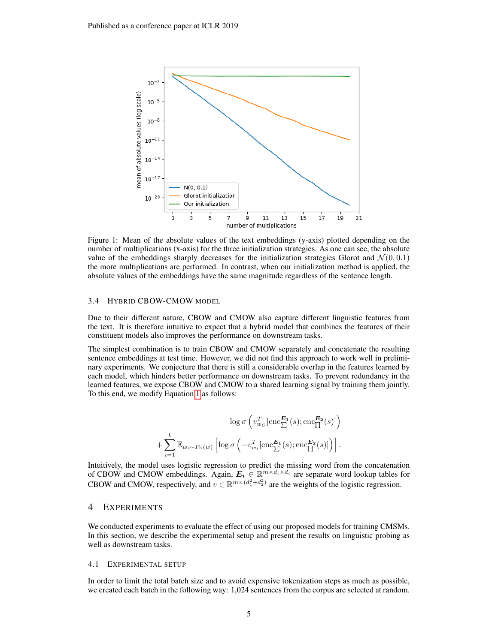<span id="page-4-1"></span>

Figure 1: Mean of the absolute values of the text embeddings (y-axis) plotted depending on the number of multiplications (x-axis) for the three initialization strategies. As one can see, the absolute value of the embeddings sharply decreases for the initialization strategies Glorot and  $\mathcal{N}(0, 0.1)$ the more multiplications are performed. In contrast, when our initialization method is applied, the absolute values of the embeddings have the same magnitude regardless of the sentence length.

#### 3.4 HYBRID CBOW-CMOW MODEL

Due to their different nature, CBOW and CMOW also capture different linguistic features from the text. It is therefore intuitive to expect that a hybrid model that combines the features of their constituent models also improves the performance on downstream tasks.

The simplest combination is to train CBOW and CMOW separately and concatenate the resulting sentence embeddings at test time. However, we did not find this approach to work well in preliminary experiments. We conjecture that there is still a considerable overlap in the features learned by each model, which hinders better performance on downstream tasks. To prevent redundancy in the learned features, we expose CBOW and CMOW to a shared learning signal by training them jointly. To this end, we modify Equation [1](#page-3-0) as follows:

$$
\log \sigma \left( v_{w_O}^T [\text{enc}_{\sum}^{\pmb{E_1}}(s); \text{enc}_{\prod}^{\pmb{E_2}}(s)] \right) + \sum_{i=1}^k \mathbb{E}_{w_i \sim P_n(w)} \left[ \log \sigma \left( -v_{w_i}^T [\text{enc}_{\sum}^{\pmb{E_1}}(s); \text{enc}_{\prod}^{\pmb{E_2}}(s)] \right) \right].
$$

Intuitively, the model uses logistic regression to predict the missing word from the concatenation of CBOW and CMOW embeddings. Again,  $E_i \in \mathbb{R}^{m \times d_i \times d_i}$  are separate word lookup tables for CBOW and CMOW, respectively, and  $v \in \mathbb{R}^{m \times (d_1^2 + d_2^2)}$  are the weights of the logistic regression.

#### <span id="page-4-0"></span>4 EXPERIMENTS

We conducted experiments to evaluate the effect of using our proposed models for training CMSMs. In this section, we describe the experimental setup and present the results on linguistic probing as well as downstream tasks.

#### 4.1 EXPERIMENTAL SETUP

In order to limit the total batch size and to avoid expensive tokenization steps as much as possible, we created each batch in the following way: 1,024 sentences from the corpus are selected at random.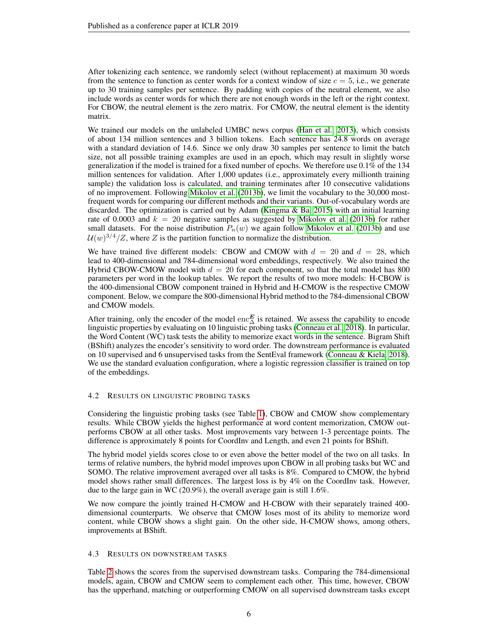After tokenizing each sentence, we randomly select (without replacement) at maximum 30 words from the sentence to function as center words for a context window of size  $c = 5$ , i.e., we generate up to 30 training samples per sentence. By padding with copies of the neutral element, we also include words as center words for which there are not enough words in the left or the right context. For CBOW, the neutral element is the zero matrix. For CMOW, the neutral element is the identity matrix.

We trained our models on the unlabeled UMBC news corpus [\(Han et al., 2013\)](#page-8-14), which consists of about 134 million sentences and 3 billion tokens. Each sentence has 24.8 words on average with a standard deviation of 14.6. Since we only draw 30 samples per sentence to limit the batch size, not all possible training examples are used in an epoch, which may result in slightly worse generalization if the model is trained for a fixed number of epochs. We therefore use 0.1% of the 134 million sentences for validation. After 1,000 updates (i.e., approximately every millionth training sample) the validation loss is calculated, and training terminates after 10 consecutive validations of no improvement. Following [Mikolov et al.](#page-9-17) [\(2013b\)](#page-9-17), we limit the vocabulary to the 30,000 mostfrequent words for comparing our different methods and their variants. Out-of-vocabulary words are discarded. The optimization is carried out by Adam [\(Kingma & Ba, 2015\)](#page-9-18) with an initial learning rate of 0.0003 and  $k = 20$  negative samples as suggested by [Mikolov et al.](#page-9-17) [\(2013b\)](#page-9-17) for rather small datasets. For the noise distribution  $P_n(w)$  we again follow [Mikolov et al.](#page-9-17) [\(2013b\)](#page-9-17) and use  $\mathcal{U}(w)^{3/4}/Z$ , where Z is the partition function to normalize the distribution.

We have trained five different models: CBOW and CMOW with  $d = 20$  and  $d = 28$ , which lead to 400-dimensional and 784-dimensional word embeddings, respectively. We also trained the Hybrid CBOW-CMOW model with  $d = 20$  for each component, so that the total model has 800 parameters per word in the lookup tables. We report the results of two more models: H-CBOW is the 400-dimensional CBOW component trained in Hybrid and H-CMOW is the respective CMOW component. Below, we compare the 800-dimensional Hybrid method to the 784-dimensional CBOW and CMOW models.

After training, only the encoder of the model enc $_{\Delta}^{E}$  is retained. We assess the capability to encode linguistic properties by evaluating on 10 linguistic probing tasks [\(Conneau et al., 2018\)](#page-8-11). In particular, the Word Content (WC) task tests the ability to memorize exact words in the sentence. Bigram Shift (BShift) analyzes the encoder's sensitivity to word order. The downstream performance is evaluated on 10 supervised and 6 unsupervised tasks from the SentEval framework [\(Conneau & Kiela, 2018\)](#page-8-10). We use the standard evaluation configuration, where a logistic regression classifier is trained on top of the embeddings.

### 4.2 RESULTS ON LINGUISTIC PROBING TASKS

Considering the linguistic probing tasks (see Table [1\)](#page-6-1), CBOW and CMOW show complementary results. While CBOW yields the highest performance at word content memorization, CMOW outperforms CBOW at all other tasks. Most improvements vary between 1-3 percentage points. The difference is approximately 8 points for CoordInv and Length, and even 21 points for BShift.

The hybrid model yields scores close to or even above the better model of the two on all tasks. In terms of relative numbers, the hybrid model improves upon CBOW in all probing tasks but WC and SOMO. The relative improvement averaged over all tasks is 8%. Compared to CMOW, the hybrid model shows rather small differences. The largest loss is by 4% on the CoordInv task. However, due to the large gain in WC (20.9%), the overall average gain is still 1.6%.

We now compare the jointly trained H-CMOW and H-CBOW with their separately trained 400 dimensional counterparts. We observe that CMOW loses most of its ability to memorize word content, while CBOW shows a slight gain. On the other side, H-CMOW shows, among others, improvements at BShift.

### 4.3 RESULTS ON DOWNSTREAM TASKS

Table [2](#page-6-2) shows the scores from the supervised downstream tasks. Comparing the 784-dimensional models, again, CBOW and CMOW seem to complement each other. This time, however, CBOW has the upperhand, matching or outperforming CMOW on all supervised downstream tasks except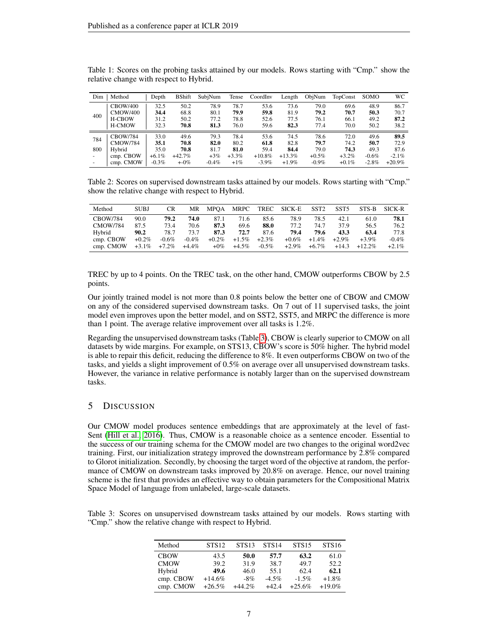| Dim | Method          | Depth    | <b>BShift</b> | SubiNum  | Tense    | CoordInv  | Length   | ObiNum   | TopConst | SOMO     | WС        |
|-----|-----------------|----------|---------------|----------|----------|-----------|----------|----------|----------|----------|-----------|
|     | <b>CBOW/400</b> | 32.5     | 50.2          | 78.9     | 78.7     | 53.6      | 73.6     | 79.0     | 69.6     | 48.9     | 86.7      |
|     | <b>CMOW/400</b> | 34.4     | 68.8          | 80.1     | 79.9     | 59.8      | 81.9     | 79.2     | 70.7     | 50.3     | 70.7      |
| 400 | <b>H-CBOW</b>   | 31.2     | 50.2          | 77.2     | 78.8     | 52.6      | 77.5     | 76.1     | 66.1     | 49.2     | 87.2      |
|     | <b>H-CMOW</b>   | 32.3     | 70.8          | 81.3     | 76.0     | 59.6      | 82.3     | 77.4     | 70.0     | 50.2     | 38.2      |
|     | <b>CBOW/784</b> | 33.0     | 49.6          | 79.3     | 78.4     | 53.6      | 74.5     | 78.6     | 72.0     | 49.6     | 89.5      |
| 784 | <b>CMOW/784</b> | 35.1     | 70.8          | 82.0     | 80.2     | 61.8      | 82.8     | 79.7     | 74.2     | 50.7     | 72.9      |
| 800 | Hybrid          | 35.0     | 70.8          | 81.7     | 81.0     | 59.4      | 84.4     | 79.0     | 74.3     | 49.3     | 87.6      |
|     | cmp. CBOW       | $+6.1\%$ | $+42.7%$      | $+3%$    | $+3.3\%$ | $+10.8\%$ | $+13.3%$ | $+0.5\%$ | $+3.2\%$ | $-0.6%$  | $-2.1\%$  |
|     | cmp. CMOW       | $-0.3\%$ | $+0\%$        | $-0.4\%$ | $+1\%$   | $-3.9\%$  | $+1.9\%$ | $-0.9\%$ | $+0.1\%$ | $-2.8\%$ | $+20.9\%$ |

<span id="page-6-1"></span>Table 1: Scores on the probing tasks attained by our models. Rows starting with "Cmp." show the relative change with respect to Hybrid.

<span id="page-6-2"></span>Table 2: Scores on supervised downstream tasks attained by our models. Rows starting with "Cmp." show the relative change with respect to Hybrid.

| Method          | <b>SUBJ</b> | CR       | MR       | MPOA     | MRPC     |          | TREC SICK-E | SST2     | SST <sub>5</sub> | STS-B     | SICK-R   |
|-----------------|-------------|----------|----------|----------|----------|----------|-------------|----------|------------------|-----------|----------|
| <b>CBOW/784</b> | 90.0        | 79.2     | 74.0     | 87.1     | 71.6     | 85.6     | 78.9        | 78.5     | 42.1             | 61.0      | 78.1     |
| <b>CMOW/784</b> | 87.5        | 73.4     | 70.6     | 87.3     | 69.6     | 88.0     | 77.2        | 74.7     | 37.9             | 56.5      | 76.2     |
| Hybrid          | 90.2        | 78.7     | 73.7     | 87.3     | 72.7     | 87.6     | 79.4        | 79.6     | 43.3             | 63.4      | 77.8     |
| cmp. CBOW       | $+0.2\%$    | $-0.6\%$ | $-0.4\%$ | $+0.2\%$ | $+1.5\%$ | $+2.3\%$ | $+0.6\%$    | $+1.4\%$ | $+2.9\%$         | $+3.9\%$  | $-0.4\%$ |
| cmp. CMOW       | $+3.1\%$    | $+7.2\%$ | $+4.4\%$ | $+0\%$   | $+4.5\%$ | $-0.5\%$ | $+2.9\%$    | $+6.7\%$ | $+14.3$          | $+12.2\%$ | $+2.1\%$ |

TREC by up to 4 points. On the TREC task, on the other hand, CMOW outperforms CBOW by 2.5 points.

Our jointly trained model is not more than 0.8 points below the better one of CBOW and CMOW on any of the considered supervised downstream tasks. On 7 out of 11 supervised tasks, the joint model even improves upon the better model, and on SST2, SST5, and MRPC the difference is more than 1 point. The average relative improvement over all tasks is 1.2%.

Regarding the unsupervised downstream tasks (Table [3\)](#page-6-3), CBOW is clearly superior to CMOW on all datasets by wide margins. For example, on STS13, CBOW's score is 50% higher. The hybrid model is able to repair this deficit, reducing the difference to 8%. It even outperforms CBOW on two of the tasks, and yields a slight improvement of 0.5% on average over all unsupervised downstream tasks. However, the variance in relative performance is notably larger than on the supervised downstream tasks.

# <span id="page-6-0"></span>5 DISCUSSION

Our CMOW model produces sentence embeddings that are approximately at the level of fast-Sent [\(Hill et al., 2016\)](#page-8-3). Thus, CMOW is a reasonable choice as a sentence encoder. Essential to the success of our training schema for the CMOW model are two changes to the original word2vec training. First, our initialization strategy improved the downstream performance by 2.8% compared to Glorot initialization. Secondly, by choosing the target word of the objective at random, the performance of CMOW on downstream tasks improved by 20.8% on average. Hence, our novel training scheme is the first that provides an effective way to obtain parameters for the Compositional Matrix Space Model of language from unlabeled, large-scale datasets.

<span id="page-6-3"></span>Table 3: Scores on unsupervised downstream tasks attained by our models. Rows starting with "Cmp." show the relative change with respect to Hybrid.

| Method      | <b>STS12</b> | <b>STS13</b> | <b>STS14</b> | <b>STS15</b> | STS <sub>16</sub> |
|-------------|--------------|--------------|--------------|--------------|-------------------|
| <b>CBOW</b> | 43.5         | 50.0         | 57.7         | 63.2         | 61.0              |
| <b>CMOW</b> | 39.2         | 31.9         | 38.7         | 49.7         | 52.2              |
| Hybrid      | 49.6         | 46.0         | 55.1         | 62.4         | 62.1              |
| cmp. CBOW   | $+14.6%$     | $-8\%$       | $-4.5\%$     | $-1.5\%$     | $+1.8\%$          |
| cmp. CMOW   | $+26.5%$     | $+44.2%$     | $+42.4$      | $+25.6%$     | $+19.0\%$         |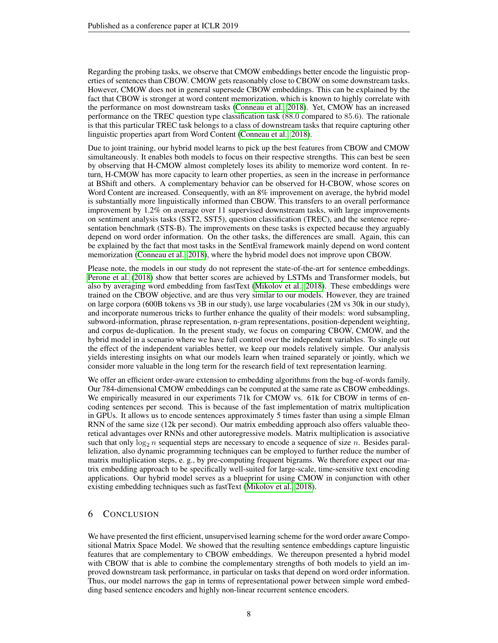Regarding the probing tasks, we observe that CMOW embeddings better encode the linguistic properties of sentences than CBOW. CMOW gets reasonably close to CBOW on some downstream tasks. However, CMOW does not in general supersede CBOW embeddings. This can be explained by the fact that CBOW is stronger at word content memorization, which is known to highly correlate with the performance on most downstream tasks [\(Conneau et al., 2018\)](#page-8-11). Yet, CMOW has an increased performance on the TREC question type classification task (88.0 compared to 85.6). The rationale is that this particular TREC task belongs to a class of downstream tasks that require capturing other linguistic properties apart from Word Content [\(Conneau et al., 2018\)](#page-8-11).

Due to joint training, our hybrid model learns to pick up the best features from CBOW and CMOW simultaneously. It enables both models to focus on their respective strengths. This can best be seen by observing that H-CMOW almost completely loses its ability to memorize word content. In return, H-CMOW has more capacity to learn other properties, as seen in the increase in performance at BShift and others. A complementary behavior can be observed for H-CBOW, whose scores on Word Content are increased. Consequently, with an  $8\%$  improvement on average, the hybrid model is substantially more linguistically informed than CBOW. This transfers to an overall performance improvement by 1.2% on average over 11 supervised downstream tasks, with large improvements on sentiment analysis tasks (SST2, SST5), question classification (TREC), and the sentence representation benchmark (STS-B). The improvements on these tasks is expected because they arguably depend on word order information. On the other tasks, the differences are small. Again, this can be explained by the fact that most tasks in the SentEval framework mainly depend on word content memorization [\(Conneau et al., 2018\)](#page-8-11), where the hybrid model does not improve upon CBOW.

Please note, the models in our study do not represent the state-of-the-art for sentence embeddings. [Perone et al.](#page-9-2) [\(2018\)](#page-9-2) show that better scores are achieved by LSTMs and Transformer models, but also by averaging word embedding from fastText [\(Mikolov et al., 2018\)](#page-9-19). These embeddings were trained on the CBOW objective, and are thus very similar to our models. However, they are trained on large corpora (600B tokens vs 3B in our study), use large vocabularies (2M vs 30k in our study), and incorporate numerous tricks to further enhance the quality of their models: word subsampling, subword-information, phrase representation, n-gram representations, position-dependent weighting, and corpus de-duplication. In the present study, we focus on comparing CBOW, CMOW, and the hybrid model in a scenario where we have full control over the independent variables. To single out the effect of the independent variables better, we keep our models relatively simple. Our analysis yields interesting insights on what our models learn when trained separately or jointly, which we consider more valuable in the long term for the research field of text representation learning.

We offer an efficient order-aware extension to embedding algorithms from the bag-of-words family. Our 784-dimensional CMOW embeddings can be computed at the same rate as CBOW embeddings. We empirically measured in our experiments 71k for CMOW vs. 61k for CBOW in terms of encoding sentences per second. This is because of the fast implementation of matrix multiplication in GPUs. It allows us to encode sentences approximately 5 times faster than using a simple Elman RNN of the same size (12k per second). Our matrix embedding approach also offers valuable theoretical advantages over RNNs and other autoregressive models. Matrix multiplication is associative such that only  $\log_2 n$  sequential steps are necessary to encode a sequence of size n. Besides parallelization, also dynamic programming techniques can be employed to further reduce the number of matrix multiplication steps, e. g., by pre-computing frequent bigrams. We therefore expect our matrix embedding approach to be specifically well-suited for large-scale, time-sensitive text encoding applications. Our hybrid model serves as a blueprint for using CMOW in conjunction with other existing embedding techniques such as fastText [\(Mikolov et al., 2018\)](#page-9-19).

# 6 CONCLUSION

We have presented the first efficient, unsupervised learning scheme for the word order aware Compositional Matrix Space Model. We showed that the resulting sentence embeddings capture linguistic features that are complementary to CBOW embeddings. We thereupon presented a hybrid model with CBOW that is able to combine the complementary strengths of both models to yield an improved downstream task performance, in particular on tasks that depend on word order information. Thus, our model narrows the gap in terms of representational power between simple word embedding based sentence encoders and highly non-linear recurrent sentence encoders.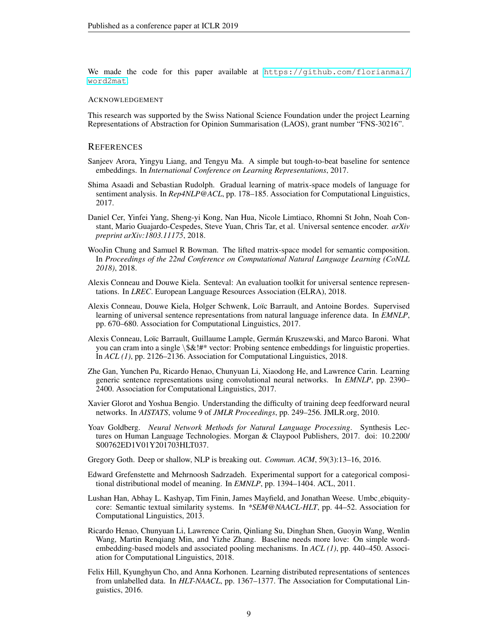We made the code for this paper available at [https://github.com/florianmai/](https://github.com/florianmai/word2mat) [word2mat](https://github.com/florianmai/word2mat).

#### ACKNOWLEDGEMENT

This research was supported by the Swiss National Science Foundation under the project Learning Representations of Abstraction for Opinion Summarisation (LAOS), grant number "FNS-30216".

#### **REFERENCES**

- <span id="page-8-4"></span>Sanjeev Arora, Yingyu Liang, and Tengyu Ma. A simple but tough-to-beat baseline for sentence embeddings. In *International Conference on Learning Representations*, 2017.
- <span id="page-8-7"></span>Shima Asaadi and Sebastian Rudolph. Gradual learning of matrix-space models of language for sentiment analysis. In *Rep4NLP@ACL*, pp. 178–185. Association for Computational Linguistics, 2017.
- <span id="page-8-2"></span>Daniel Cer, Yinfei Yang, Sheng-yi Kong, Nan Hua, Nicole Limtiaco, Rhomni St John, Noah Constant, Mario Guajardo-Cespedes, Steve Yuan, Chris Tar, et al. Universal sentence encoder. *arXiv preprint arXiv:1803.11175*, 2018.
- <span id="page-8-9"></span>WooJin Chung and Samuel R Bowman. The lifted matrix-space model for semantic composition. In *Proceedings of the 22nd Conference on Computational Natural Language Learning (CoNLL 2018)*, 2018.
- <span id="page-8-10"></span>Alexis Conneau and Douwe Kiela. Senteval: An evaluation toolkit for universal sentence representations. In *LREC*. European Language Resources Association (ELRA), 2018.
- <span id="page-8-1"></span>Alexis Conneau, Douwe Kiela, Holger Schwenk, Loïc Barrault, and Antoine Bordes. Supervised learning of universal sentence representations from natural language inference data. In *EMNLP*, pp. 670–680. Association for Computational Linguistics, 2017.
- <span id="page-8-11"></span>Alexis Conneau, Loïc Barrault, Guillaume Lample, Germán Kruszewski, and Marco Baroni. What you can cram into a single \\$&!#\* vector: Probing sentence embeddings for linguistic properties. In *ACL (1)*, pp. 2126–2136. Association for Computational Linguistics, 2018.
- <span id="page-8-12"></span>Zhe Gan, Yunchen Pu, Ricardo Henao, Chunyuan Li, Xiaodong He, and Lawrence Carin. Learning generic sentence representations using convolutional neural networks. In *EMNLP*, pp. 2390– 2400. Association for Computational Linguistics, 2017.
- <span id="page-8-13"></span>Xavier Glorot and Yoshua Bengio. Understanding the difficulty of training deep feedforward neural networks. In *AISTATS*, volume 9 of *JMLR Proceedings*, pp. 249–256. JMLR.org, 2010.
- <span id="page-8-6"></span>Yoav Goldberg. *Neural Network Methods for Natural Language Processing*. Synthesis Lectures on Human Language Technologies. Morgan & Claypool Publishers, 2017. doi: 10.2200/ S00762ED1V01Y201703HLT037.
- <span id="page-8-0"></span>Gregory Goth. Deep or shallow, NLP is breaking out. *Commun. ACM*, 59(3):13–16, 2016.
- <span id="page-8-8"></span>Edward Grefenstette and Mehrnoosh Sadrzadeh. Experimental support for a categorical compositional distributional model of meaning. In *EMNLP*, pp. 1394–1404. ACL, 2011.
- <span id="page-8-14"></span>Lushan Han, Abhay L. Kashyap, Tim Finin, James Mayfield, and Jonathan Weese. Umbc ebiquitycore: Semantic textual similarity systems. In *\*SEM@NAACL-HLT*, pp. 44–52. Association for Computational Linguistics, 2013.
- <span id="page-8-5"></span>Ricardo Henao, Chunyuan Li, Lawrence Carin, Qinliang Su, Dinghan Shen, Guoyin Wang, Wenlin Wang, Martin Renqiang Min, and Yizhe Zhang. Baseline needs more love: On simple wordembedding-based models and associated pooling mechanisms. In *ACL (1)*, pp. 440–450. Association for Computational Linguistics, 2018.
- <span id="page-8-3"></span>Felix Hill, Kyunghyun Cho, and Anna Korhonen. Learning distributed representations of sentences from unlabelled data. In *HLT-NAACL*, pp. 1367–1377. The Association for Computational Linguistics, 2016.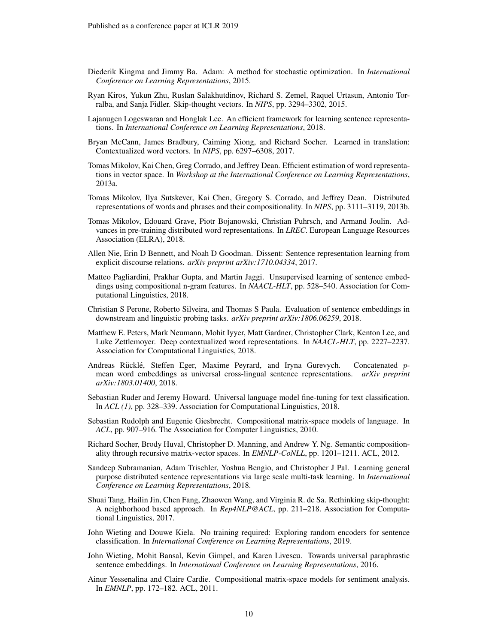- <span id="page-9-18"></span>Diederik Kingma and Jimmy Ba. Adam: A method for stochastic optimization. In *International Conference on Learning Representations*, 2015.
- <span id="page-9-8"></span>Ryan Kiros, Yukun Zhu, Ruslan Salakhutdinov, Richard S. Zemel, Raquel Urtasun, Antonio Torralba, and Sanja Fidler. Skip-thought vectors. In *NIPS*, pp. 3294–3302, 2015.
- <span id="page-9-12"></span>Lajanugen Logeswaran and Honglak Lee. An efficient framework for learning sentence representations. In *International Conference on Learning Representations*, 2018.
- <span id="page-9-11"></span>Bryan McCann, James Bradbury, Caiming Xiong, and Richard Socher. Learned in translation: Contextualized word vectors. In *NIPS*, pp. 6297–6308, 2017.
- <span id="page-9-1"></span>Tomas Mikolov, Kai Chen, Greg Corrado, and Jeffrey Dean. Efficient estimation of word representations in vector space. In *Workshop at the International Conference on Learning Representations*, 2013a.
- <span id="page-9-17"></span>Tomas Mikolov, Ilya Sutskever, Kai Chen, Gregory S. Corrado, and Jeffrey Dean. Distributed representations of words and phrases and their compositionality. In *NIPS*, pp. 3111–3119, 2013b.
- <span id="page-9-19"></span>Tomas Mikolov, Edouard Grave, Piotr Bojanowski, Christian Puhrsch, and Armand Joulin. Advances in pre-training distributed word representations. In *LREC*. European Language Resources Association (ELRA), 2018.
- <span id="page-9-10"></span>Allen Nie, Erin D Bennett, and Noah D Goodman. Dissent: Sentence representation learning from explicit discourse relations. *arXiv preprint arXiv:1710.04334*, 2017.
- <span id="page-9-14"></span>Matteo Pagliardini, Prakhar Gupta, and Martin Jaggi. Unsupervised learning of sentence embeddings using compositional n-gram features. In *NAACL-HLT*, pp. 528–540. Association for Computational Linguistics, 2018.
- <span id="page-9-2"></span>Christian S Perone, Roberto Silveira, and Thomas S Paula. Evaluation of sentence embeddings in downstream and linguistic probing tasks. *arXiv preprint arXiv:1806.06259*, 2018.
- <span id="page-9-3"></span>Matthew E. Peters, Mark Neumann, Mohit Iyyer, Matt Gardner, Christopher Clark, Kenton Lee, and Luke Zettlemoyer. Deep contextualized word representations. In *NAACL-HLT*, pp. 2227–2237. Association for Computational Linguistics, 2018.
- <span id="page-9-4"></span>Andreas Rücklé, Steffen Eger, Maxime Peyrard, and Iryna Gurevych. Concatenated  $p$ mean word embeddings as universal cross-lingual sentence representations. *arXiv preprint arXiv:1803.01400*, 2018.
- <span id="page-9-15"></span>Sebastian Ruder and Jeremy Howard. Universal language model fine-tuning for text classification. In *ACL (1)*, pp. 328–339. Association for Computational Linguistics, 2018.
- <span id="page-9-0"></span>Sebastian Rudolph and Eugenie Giesbrecht. Compositional matrix-space models of language. In *ACL*, pp. 907–916. The Association for Computer Linguistics, 2010.
- <span id="page-9-7"></span>Richard Socher, Brody Huval, Christopher D. Manning, and Andrew Y. Ng. Semantic compositionality through recursive matrix-vector spaces. In *EMNLP-CoNLL*, pp. 1201–1211. ACL, 2012.
- <span id="page-9-16"></span>Sandeep Subramanian, Adam Trischler, Yoshua Bengio, and Christopher J Pal. Learning general purpose distributed sentence representations via large scale multi-task learning. In *International Conference on Learning Representations*, 2018.
- <span id="page-9-9"></span>Shuai Tang, Hailin Jin, Chen Fang, Zhaowen Wang, and Virginia R. de Sa. Rethinking skip-thought: A neighborhood based approach. In *Rep4NLP@ACL*, pp. 211–218. Association for Computational Linguistics, 2017.
- <span id="page-9-5"></span>John Wieting and Douwe Kiela. No training required: Exploring random encoders for sentence classification. In *International Conference on Learning Representations*, 2019.
- <span id="page-9-13"></span>John Wieting, Mohit Bansal, Kevin Gimpel, and Karen Livescu. Towards universal paraphrastic sentence embeddings. In *International Conference on Learning Representations*, 2016.
- <span id="page-9-6"></span>Ainur Yessenalina and Claire Cardie. Compositional matrix-space models for sentiment analysis. In *EMNLP*, pp. 172–182. ACL, 2011.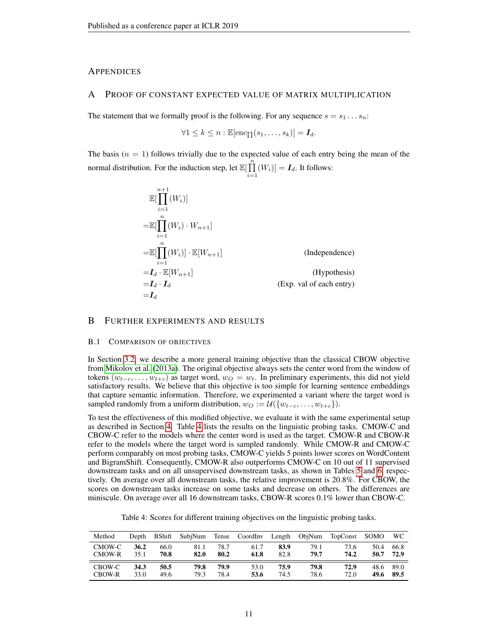## **APPENDICES**

## <span id="page-10-1"></span>A PROOF OF CONSTANT EXPECTED VALUE OF MATRIX MULTIPLICATION

The statement that we formally proof is the following. For any sequence  $s = s_1 \dots s_n$ :

$$
\forall 1 \leq k \leq n : \mathbb{E}[\text{enc}_{\prod}(s_1, \ldots, s_k)] = \mathbf{I}_d.
$$

The basis  $(n = 1)$  follows trivially due to the expected value of each entry being the mean of the normal distribution. For the induction step, let  $\mathbb{E}[\prod_{i=1}^{n}$  $\prod_{i=1} (W_i)]=\boldsymbol{I}_d.$  It follows:

$$
\mathbb{E}[\prod_{i=1}^{n+1}(W_i)]
$$
\n
$$
=\mathbb{E}[\prod_{i=1}^{n}(W_i)\cdot W_{n+1}]
$$
\n
$$
=\mathbb{E}[\prod_{i=1}^{n}(W_i)]\cdot \mathbb{E}[W_{n+1}]
$$
\n(Independence)\n
$$
=I_d\cdot \mathbb{E}[W_{n+1}]
$$
\n(Hypothesis)\n
$$
=I_d\cdot I_d
$$
\n(Exp. val of each entry)\n
$$
=I_d
$$

## B FURTHER EXPERIMENTS AND RESULTS

#### <span id="page-10-0"></span>B.1 COMPARISON OF OBJECTIVES

In Section [3.2,](#page-2-1) we describe a more general training objective than the classical CBOW objective from [Mikolov et al.](#page-9-1) [\(2013a\)](#page-9-1). The original objective always sets the center word from the window of tokens  $(w_{t-c}, \ldots, w_{t+c})$  as target word,  $w_O = w_t$ . In preliminary experiments, this did not yield satisfactory results. We believe that this objective is too simple for learning sentence embeddings that capture semantic information. Therefore, we experimented a variant where the target word is sampled randomly from a uniform distribution,  $w_O := \mathcal{U}(\{w_{t-c}, \ldots, w_{t+c}\}).$ 

To test the effectiveness of this modified objective, we evaluate it with the same experimental setup as described in Section [4.](#page-4-0) Table [4](#page-10-2) lists the results on the linguistic probing tasks. CMOW-C and CBOW-C refer to the models where the center word is used as the target. CMOW-R and CBOW-R refer to the models where the target word is sampled randomly. While CMOW-R and CMOW-C perform comparably on most probing tasks, CMOW-C yields 5 points lower scores on WordContent and BigramShift. Consequently, CMOW-R also outperforms CMOW-C on 10 out of 11 supervised downstream tasks and on all unsupervised downstream tasks, as shown in Tables [5](#page-11-1) and [6,](#page-11-2) respectively. On average over all downstream tasks, the relative improvement is 20.8%. For CBOW, the scores on downstream tasks increase on some tasks and decrease on others. The differences are miniscule. On average over all 16 downstream tasks, CBOW-R scores 0.1% lower than CBOW-C.

Table 4: Scores for different training objectives on the linguistic probing tasks.

<span id="page-10-2"></span>

| Method | Depth | BShift | SubjNum |      | Tense CoordInv | Length | ObiNum | TopConst | SOMO | WС   |
|--------|-------|--------|---------|------|----------------|--------|--------|----------|------|------|
| CMOW-C | 36.2  | 66.0   | 81.1    | 78.7 | 61.7           | 83.9   | 79.1   | 73.6     | 50.4 | 66.8 |
| CMOW-R | 35.1  | 70.8   | 82.0    | 80.2 | 61.8           | 82.8   | 79.7   | 74.2     | 50.7 | 72.9 |
| CBOW-C | 34.3  | 50.5   | 79.8    | 79.9 | 53.0           | 75.9   | 79.8   | 72.9     | 48.6 | 89.0 |
| CBOW-R | 33.0  | 49.6   | 79.3    | 78.4 | 53.6           | 74.5   | 78.6   | 72.0     | 49.6 | 89.5 |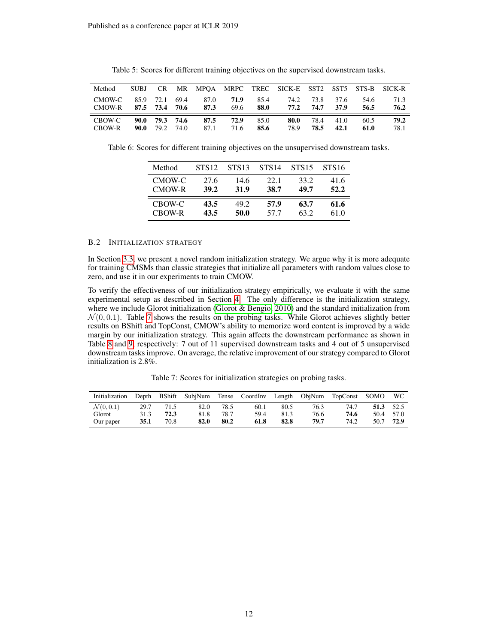<span id="page-11-1"></span>

| Method | <b>SUBJ</b> | CR.       |      |      |      |      | MR MPOA MRPC TREC SICK-E SST2 SST5 STS-B SICK-R |      |      |      |      |
|--------|-------------|-----------|------|------|------|------|-------------------------------------------------|------|------|------|------|
| CMOW-C |             | 85.9 72.1 | 69.4 | 87.0 | 71.9 | 85.4 | 74.2                                            | 73.8 | 37.6 | 54.6 | 71.3 |
| CMOW-R |             | 87.5 73.4 | 70.6 | 87.3 | 69.6 | 88.0 | 77.2                                            | 74.7 | 37.9 | 56.5 | 76.2 |
| CBOW-C | 90.0        | 79.3      | 74.6 | 87.5 | 72.9 | 85.0 | 80.0                                            | 78.4 | 41.0 | 60.5 | 79.2 |
| CBOW-R | 90.0        | 79.2      | 74.0 | 87.1 | 71.6 | 85.6 | 78.9                                            | 78.5 | 42.1 | 61.0 | 78.1 |

Table 5: Scores for different training objectives on the supervised downstream tasks.

<span id="page-11-2"></span>Table 6: Scores for different training objectives on the unsupervised downstream tasks.

| Method | <b>STS12</b> | STS <sub>13</sub> | STS <sub>14</sub> | <b>STS15</b> | <b>STS16</b> |
|--------|--------------|-------------------|-------------------|--------------|--------------|
| CMOW-C | 27.6         | 14.6              | 22.1              | 33.2         | 41.6         |
| CMOW-R | 39.2         | 31.9              | 38.7              | 49.7         | 52.2         |
| CBOW-C | 43.5         | 49.2              | 57.9              | 63.7         | 61.6         |
| CBOW-R | 43.5         | 50.0              | 57.7              | 63.2         | 61.0         |

### <span id="page-11-0"></span>B.2 INITIALIZATION STRATEGY

In Section [3.3,](#page-3-1) we present a novel random initialization strategy. We argue why it is more adequate for training CMSMs than classic strategies that initialize all parameters with random values close to zero, and use it in our experiments to train CMOW.

To verify the effectiveness of our initialization strategy empirically, we evaluate it with the same experimental setup as described in Section [4.](#page-4-0) The only difference is the initialization strategy, where we include Glorot initialization [\(Glorot & Bengio, 2010\)](#page-8-13) and the standard initialization from  $\mathcal{N}(0, 0.1)$ . Table [7](#page-11-3) shows the results on the probing tasks. While Glorot achieves slightly better results on BShift and TopConst, CMOW's ability to memorize word content is improved by a wide margin by our initialization strategy. This again affects the downstream performance as shown in Table [8](#page-12-0) and [9,](#page-12-1) respectively: 7 out of 11 supervised downstream tasks and 4 out of 5 unsupervised downstream tasks improve. On average, the relative improvement of our strategy compared to Glorot initialization is 2.8%.

Table 7: Scores for initialization strategies on probing tasks.

<span id="page-11-3"></span>

| Initialization Depth BShift SubjNum Tense CoordInv Length ObjNum TopConst SOMO WC |      |      |      |      |      |      |      |      |           |           |
|-----------------------------------------------------------------------------------|------|------|------|------|------|------|------|------|-----------|-----------|
| $\mathcal{N}(0,0.1)$                                                              | 29.7 | 71.5 | 82.0 | 78.5 | 60.1 | 80.5 | 76.3 | 74.7 | 51.3 52.5 |           |
| Glorot                                                                            | 31.3 | 72.3 | 81.8 | 78.7 | 59.4 | 81.3 | 76.6 | 74.6 |           | 50.4 57.0 |
| Our paper                                                                         | 35.1 | 70.8 | 82.0 | 80.2 | 61.8 | 82.8 | 79.7 | 74.2 | 50.7      | 72.9      |